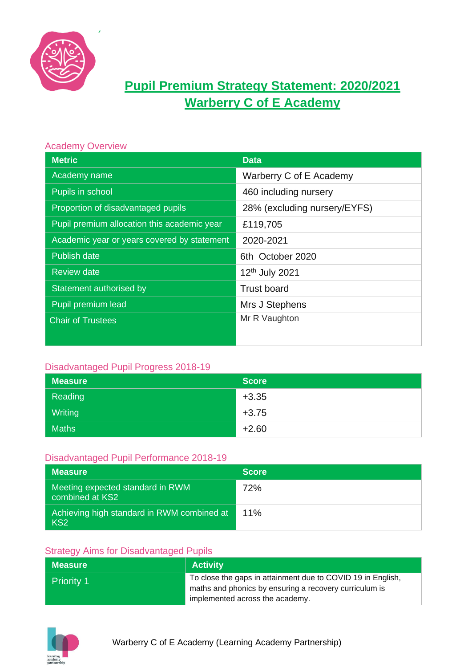

# **Pupil Premium Strategy Statement: 2020/2021 Warberry C of E Academy**

| <b>Academy Overview</b>                     |                              |
|---------------------------------------------|------------------------------|
| <b>Metric</b>                               | <b>Data</b>                  |
| Academy name                                | Warberry C of E Academy      |
| Pupils in school                            | 460 including nursery        |
| Proportion of disadvantaged pupils          | 28% (excluding nursery/EYFS) |
| Pupil premium allocation this academic year | £119,705                     |
| Academic year or years covered by statement | 2020-2021                    |
| <b>Publish date</b>                         | 6th October 2020             |
| <b>Review date</b>                          | 12 <sup>th</sup> July 2021   |
| Statement authorised by                     | <b>Trust board</b>           |
| Pupil premium lead                          | Mrs J Stephens               |
| <b>Chair of Trustees</b>                    | Mr R Vaughton                |
|                                             |                              |

#### Disadvantaged Pupil Progress 2018-19

| <b>Measure</b> | <b>Score</b> |
|----------------|--------------|
| Reading        | $+3.35$      |
| Writing        | $+3.75$      |
| <b>Maths</b>   | $+2.60$      |

#### Disadvantaged Pupil Performance 2018-19

| <b>Measure</b>                                                | <b>Score</b> |
|---------------------------------------------------------------|--------------|
| Meeting expected standard in RWM<br>combined at KS2           | 72%          |
| Achieving high standard in RWM combined at<br>KS <sub>2</sub> | 11%          |

#### Strategy Aims for Disadvantaged Pupils

| <b>Measure</b>    | <b>Activity</b>                                                                                                                                          |
|-------------------|----------------------------------------------------------------------------------------------------------------------------------------------------------|
| <b>Priority 1</b> | To close the gaps in attainment due to COVID 19 in English,<br>maths and phonics by ensuring a recovery curriculum is<br>implemented across the academy. |

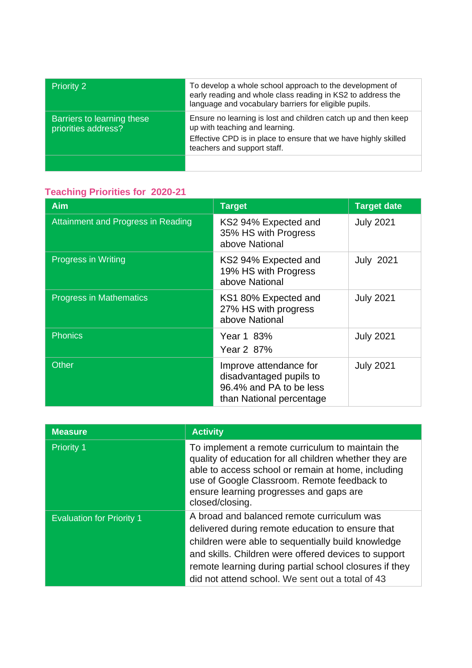| <b>Priority 2</b>                                 | To develop a whole school approach to the development of<br>early reading and whole class reading in KS2 to address the<br>language and vocabulary barriers for eligible pupils.                   |
|---------------------------------------------------|----------------------------------------------------------------------------------------------------------------------------------------------------------------------------------------------------|
| Barriers to learning these<br>priorities address? | Ensure no learning is lost and children catch up and then keep<br>up with teaching and learning.<br>Effective CPD is in place to ensure that we have highly skilled<br>teachers and support staff. |
|                                                   |                                                                                                                                                                                                    |

## **Teaching Priorities for 2020-21**

| <b>Aim</b>                         | <b>Target</b>                                                                                            | <b>Target date</b> |
|------------------------------------|----------------------------------------------------------------------------------------------------------|--------------------|
| Attainment and Progress in Reading | KS2 94% Expected and<br>35% HS with Progress<br>above National                                           | <b>July 2021</b>   |
| <b>Progress in Writing</b>         | KS2 94% Expected and<br>19% HS with Progress<br>above National                                           | <b>July 2021</b>   |
| <b>Progress in Mathematics</b>     | KS1 80% Expected and<br>27% HS with progress<br>above National                                           | <b>July 2021</b>   |
| <b>Phonics</b>                     | Year 1 83%<br>Year 2 87%                                                                                 | <b>July 2021</b>   |
| Other                              | Improve attendance for<br>disadvantaged pupils to<br>96.4% and PA to be less<br>than National percentage | <b>July 2021</b>   |

| <b>Measure</b>                   | <b>Activity</b>                                                                                                                                                                                                                                                                                                            |
|----------------------------------|----------------------------------------------------------------------------------------------------------------------------------------------------------------------------------------------------------------------------------------------------------------------------------------------------------------------------|
| <b>Priority 1</b>                | To implement a remote curriculum to maintain the<br>quality of education for all children whether they are<br>able to access school or remain at home, including<br>use of Google Classroom. Remote feedback to<br>ensure learning progresses and gaps are<br>closed/closing.                                              |
| <b>Evaluation for Priority 1</b> | A broad and balanced remote curriculum was<br>delivered during remote education to ensure that<br>children were able to sequentially build knowledge<br>and skills. Children were offered devices to support<br>remote learning during partial school closures if they<br>did not attend school. We sent out a total of 43 |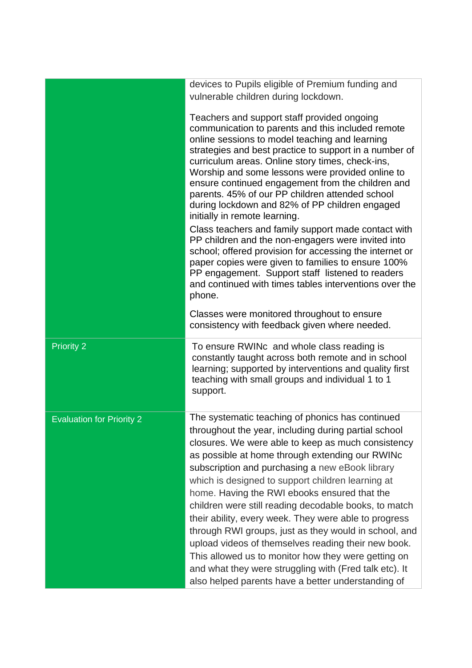|                                  | devices to Pupils eligible of Premium funding and<br>vulnerable children during lockdown.<br>Teachers and support staff provided ongoing<br>communication to parents and this included remote<br>online sessions to model teaching and learning<br>strategies and best practice to support in a number of<br>curriculum areas. Online story times, check-ins,<br>Worship and some lessons were provided online to<br>ensure continued engagement from the children and<br>parents. 45% of our PP children attended school<br>during lockdown and 82% of PP children engaged<br>initially in remote learning.<br>Class teachers and family support made contact with<br>PP children and the non-engagers were invited into<br>school; offered provision for accessing the internet or<br>paper copies were given to families to ensure 100%<br>PP engagement. Support staff listened to readers<br>and continued with times tables interventions over the<br>phone.<br>Classes were monitored throughout to ensure<br>consistency with feedback given where needed. |
|----------------------------------|--------------------------------------------------------------------------------------------------------------------------------------------------------------------------------------------------------------------------------------------------------------------------------------------------------------------------------------------------------------------------------------------------------------------------------------------------------------------------------------------------------------------------------------------------------------------------------------------------------------------------------------------------------------------------------------------------------------------------------------------------------------------------------------------------------------------------------------------------------------------------------------------------------------------------------------------------------------------------------------------------------------------------------------------------------------------|
| <b>Priority 2</b>                | To ensure RWINc and whole class reading is<br>constantly taught across both remote and in school<br>learning; supported by interventions and quality first<br>teaching with small groups and individual 1 to 1<br>support.                                                                                                                                                                                                                                                                                                                                                                                                                                                                                                                                                                                                                                                                                                                                                                                                                                         |
| <b>Evaluation for Priority 2</b> | The systematic teaching of phonics has continued<br>throughout the year, including during partial school<br>closures. We were able to keep as much consistency<br>as possible at home through extending our RWINC<br>subscription and purchasing a new eBook library<br>which is designed to support children learning at<br>home. Having the RWI ebooks ensured that the<br>children were still reading decodable books, to match<br>their ability, every week. They were able to progress<br>through RWI groups, just as they would in school, and<br>upload videos of themselves reading their new book.<br>This allowed us to monitor how they were getting on<br>and what they were struggling with (Fred talk etc). It<br>also helped parents have a better understanding of                                                                                                                                                                                                                                                                                 |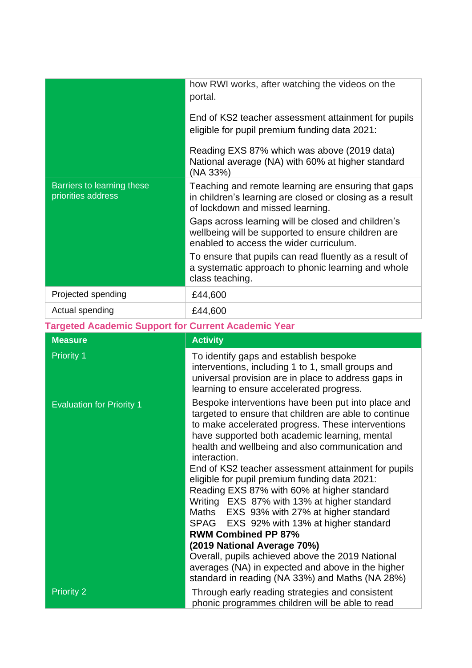|                                                            | how RWI works, after watching the videos on the<br>portal.<br>End of KS2 teacher assessment attainment for pupils<br>eligible for pupil premium funding data 2021:<br>Reading EXS 87% which was above (2019 data)<br>National average (NA) with 60% at higher standard                                                                                                                                                                                                                                                                                                                                                                                                                                                                                                                                             |  |
|------------------------------------------------------------|--------------------------------------------------------------------------------------------------------------------------------------------------------------------------------------------------------------------------------------------------------------------------------------------------------------------------------------------------------------------------------------------------------------------------------------------------------------------------------------------------------------------------------------------------------------------------------------------------------------------------------------------------------------------------------------------------------------------------------------------------------------------------------------------------------------------|--|
| Barriers to learning these<br>priorities address           | (NA 33%)<br>Teaching and remote learning are ensuring that gaps<br>in children's learning are closed or closing as a result<br>of lockdown and missed learning.<br>Gaps across learning will be closed and children's<br>wellbeing will be supported to ensure children are<br>enabled to access the wider curriculum.<br>To ensure that pupils can read fluently as a result of<br>a systematic approach to phonic learning and whole<br>class teaching.                                                                                                                                                                                                                                                                                                                                                          |  |
| Projected spending                                         | £44,600                                                                                                                                                                                                                                                                                                                                                                                                                                                                                                                                                                                                                                                                                                                                                                                                            |  |
| Actual spending                                            | £44,600                                                                                                                                                                                                                                                                                                                                                                                                                                                                                                                                                                                                                                                                                                                                                                                                            |  |
| <b>Targeted Academic Support for Current Academic Year</b> |                                                                                                                                                                                                                                                                                                                                                                                                                                                                                                                                                                                                                                                                                                                                                                                                                    |  |
| <b>Measure</b>                                             | <b>Activity</b>                                                                                                                                                                                                                                                                                                                                                                                                                                                                                                                                                                                                                                                                                                                                                                                                    |  |
| <b>Priority 1</b>                                          | To identify gaps and establish bespoke<br>interventions, including 1 to 1, small groups and<br>universal provision are in place to address gaps in<br>learning to ensure accelerated progress.                                                                                                                                                                                                                                                                                                                                                                                                                                                                                                                                                                                                                     |  |
| <b>Evaluation for Priority 1</b>                           | Bespoke interventions have been put into place and<br>targeted to ensure that children are able to continue<br>to make accelerated progress. These interventions<br>have supported both academic learning, mental<br>health and wellbeing and also communication and<br>interaction.<br>End of KS2 teacher assessment attainment for pupils<br>eligible for pupil premium funding data 2021:<br>Reading EXS 87% with 60% at higher standard<br>Writing EXS 87% with 13% at higher standard<br>EXS 93% with 27% at higher standard<br>Maths<br>SPAG<br>EXS 92% with 13% at higher standard<br><b>RWM Combined PP 87%</b><br>(2019 National Average 70%)<br>Overall, pupils achieved above the 2019 National<br>averages (NA) in expected and above in the higher<br>standard in reading (NA 33%) and Maths (NA 28%) |  |
| <b>Priority 2</b>                                          | Through early reading strategies and consistent<br>phonic programmes children will be able to read                                                                                                                                                                                                                                                                                                                                                                                                                                                                                                                                                                                                                                                                                                                 |  |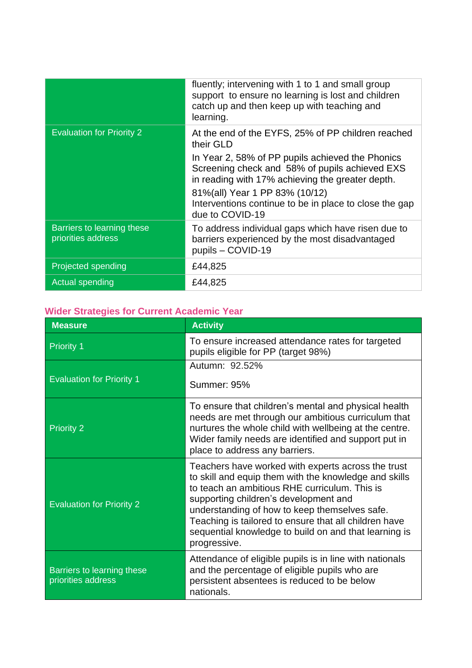|                                                  | fluently; intervening with 1 to 1 and small group<br>support to ensure no learning is lost and children<br>catch up and then keep up with teaching and<br>learning. |
|--------------------------------------------------|---------------------------------------------------------------------------------------------------------------------------------------------------------------------|
| <b>Evaluation for Priority 2</b>                 | At the end of the EYFS, 25% of PP children reached<br>their GLD                                                                                                     |
|                                                  | In Year 2, 58% of PP pupils achieved the Phonics<br>Screening check and 58% of pupils achieved EXS<br>in reading with 17% achieving the greater depth.              |
|                                                  | 81%(all) Year 1 PP 83% (10/12)<br>Interventions continue to be in place to close the gap<br>due to COVID-19                                                         |
| Barriers to learning these<br>priorities address | To address individual gaps which have risen due to<br>barriers experienced by the most disadvantaged<br>pupils - COVID-19                                           |
| Projected spending                               | £44,825                                                                                                                                                             |
| Actual spending                                  | £44,825                                                                                                                                                             |

## **Wider Strategies for Current Academic Year**

| <b>Measure</b>                                   | <b>Activity</b>                                                                                                                                                                                                                                                                                                                                                                          |
|--------------------------------------------------|------------------------------------------------------------------------------------------------------------------------------------------------------------------------------------------------------------------------------------------------------------------------------------------------------------------------------------------------------------------------------------------|
| <b>Priority 1</b>                                | To ensure increased attendance rates for targeted<br>pupils eligible for PP (target 98%)                                                                                                                                                                                                                                                                                                 |
|                                                  | Autumn: 92.52%                                                                                                                                                                                                                                                                                                                                                                           |
| <b>Evaluation for Priority 1</b>                 | Summer: 95%                                                                                                                                                                                                                                                                                                                                                                              |
| <b>Priority 2</b>                                | To ensure that children's mental and physical health<br>needs are met through our ambitious curriculum that<br>nurtures the whole child with wellbeing at the centre.<br>Wider family needs are identified and support put in<br>place to address any barriers.                                                                                                                          |
| <b>Evaluation for Priority 2</b>                 | Teachers have worked with experts across the trust<br>to skill and equip them with the knowledge and skills<br>to teach an ambitious RHE curriculum. This is<br>supporting children's development and<br>understanding of how to keep themselves safe.<br>Teaching is tailored to ensure that all children have<br>sequential knowledge to build on and that learning is<br>progressive. |
| Barriers to learning these<br>priorities address | Attendance of eligible pupils is in line with nationals<br>and the percentage of eligible pupils who are<br>persistent absentees is reduced to be below<br>nationals.                                                                                                                                                                                                                    |